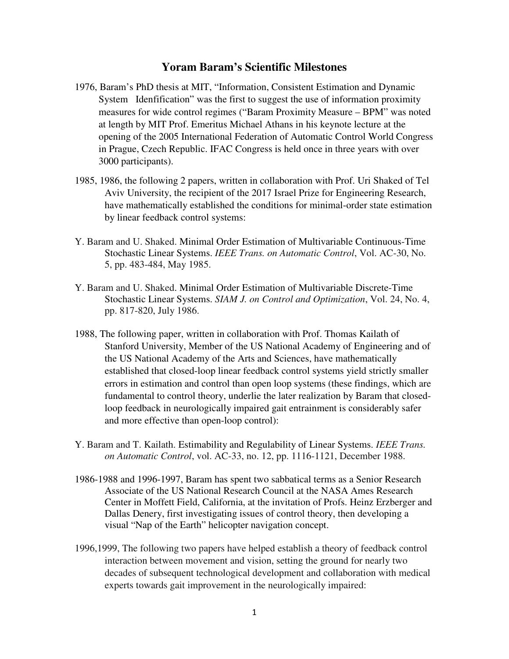## **Yoram Baram's Scientific Milestones**

- 1976, Baram's PhD thesis at MIT, "Information, Consistent Estimation and Dynamic System Idenfification" was the first to suggest the use of information proximity measures for wide control regimes ("Baram Proximity Measure – BPM" was noted at length by MIT Prof. Emeritus Michael Athans in his keynote lecture at the opening of the 2005 International Federation of Automatic Control World Congress in Prague, Czech Republic. IFAC Congress is held once in three years with over 3000 participants).
- 1985, 1986, the following 2 papers, written in collaboration with Prof. Uri Shaked of Tel Aviv University, the recipient of the 2017 Israel Prize for Engineering Research, have mathematically established the conditions for minimal-order state estimation by linear feedback control systems:
- Y. Baram and U. Shaked. Minimal Order Estimation of Multivariable Continuous-Time Stochastic Linear Systems. *IEEE Trans. on Automatic Control*, Vol. AC-30, No. 5, pp. 483-484, May 1985.
- Y. Baram and U. Shaked. Minimal Order Estimation of Multivariable Discrete-Time Stochastic Linear Systems. *SIAM J. on Control and Optimization*, Vol. 24, No. 4, pp. 817-820, July 1986.
- 1988, The following paper, written in collaboration with Prof. Thomas Kailath of Stanford University, Member of the US National Academy of Engineering and of the US National Academy of the Arts and Sciences, have mathematically established that closed-loop linear feedback control systems yield strictly smaller errors in estimation and control than open loop systems (these findings, which are fundamental to control theory, underlie the later realization by Baram that closedloop feedback in neurologically impaired gait entrainment is considerably safer and more effective than open-loop control):
- Y. Baram and T. Kailath. Estimability and Regulability of Linear Systems. *IEEE Trans. on Automatic Control*, vol. AC-33, no. 12, pp. 1116-1121, December 1988.
- 1986-1988 and 1996-1997, Baram has spent two sabbatical terms as a Senior Research Associate of the US National Research Council at the NASA Ames Research Center in Moffett Field, California, at the invitation of Profs. Heinz Erzberger and Dallas Denery, first investigating issues of control theory, then developing a visual "Nap of the Earth" helicopter navigation concept.
- 1996,1999, The following two papers have helped establish a theory of feedback control interaction between movement and vision, setting the ground for nearly two decades of subsequent technological development and collaboration with medical experts towards gait improvement in the neurologically impaired: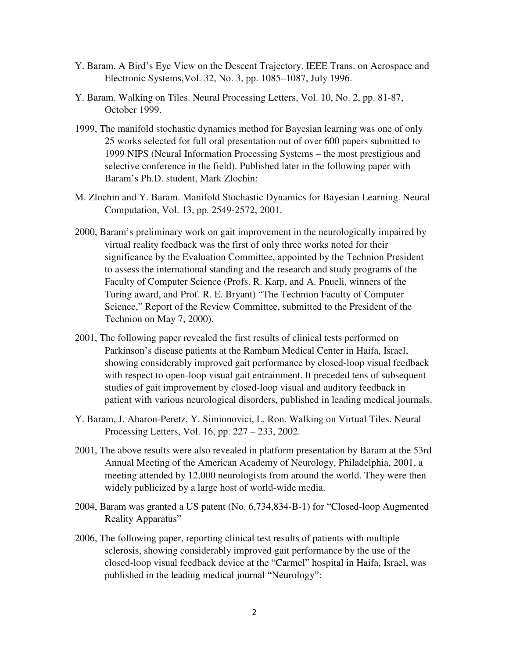- Y. Baram. A Bird's Eye View on the Descent Trajectory. IEEE Trans. on Aerospace and Electronic Systems,Vol. 32, No. 3, pp. 1085–1087, July 1996.
- Y. Baram. Walking on Tiles. Neural Processing Letters, Vol. 10, No. 2, pp. 81-87, October 1999.
- 1999, The manifold stochastic dynamics method for Bayesian learning was one of only 25 works selected for full oral presentation out of over 600 papers submitted to 1999 NIPS (Neural Information Processing Systems – the most prestigious and selective conference in the field). Published later in the following paper with Baram's Ph.D. student, Mark Zlochin:
- M. Zlochin and Y. Baram. Manifold Stochastic Dynamics for Bayesian Learning. Neural Computation, Vol. 13, pp. 2549-2572, 2001.
- 2000, Baram's preliminary work on gait improvement in the neurologically impaired by virtual reality feedback was the first of only three works noted for their significance by the Evaluation Committee, appointed by the Technion President to assess the international standing and the research and study programs of the Faculty of Computer Science (Profs. R. Karp, and A. Pnueli, winners of the Turing award, and Prof. R. E. Bryant) "The Technion Faculty of Computer Science," Report of the Review Committee, submitted to the President of the Technion on May 7, 2000).
- 2001, The following paper revealed the first results of clinical tests performed on Parkinson's disease patients at the Rambam Medical Center in Haifa, Israel, showing considerably improved gait performance by closed-loop visual feedback with respect to open-loop visual gait entrainment. It preceded tens of subsequent studies of gait improvement by closed-loop visual and auditory feedback in patient with various neurological disorders, published in leading medical journals.
- Y. Baram, J. Aharon-Peretz, Y. Simionovici, L. Ron. Walking on Virtual Tiles. Neural Processing Letters, Vol. 16, pp. 227 – 233, 2002.
- 2001, The above results were also revealed in platform presentation by Baram at the 53rd Annual Meeting of the American Academy of Neurology, Philadelphia, 2001, a meeting attended by 12,000 neurologists from around the world. They were then widely publicized by a large host of world-wide media.
- 2004, Baram was granted a US patent (No. 6,734,834-B-1) for "Closed-loop Augmented Reality Apparatus"
- 2006, The following paper, reporting clinical test results of patients with multiple sclerosis, showing considerably improved gait performance by the use of the closed-loop visual feedback device at the "Carmel" hospital in Haifa, Israel, was published in the leading medical journal "Neurology":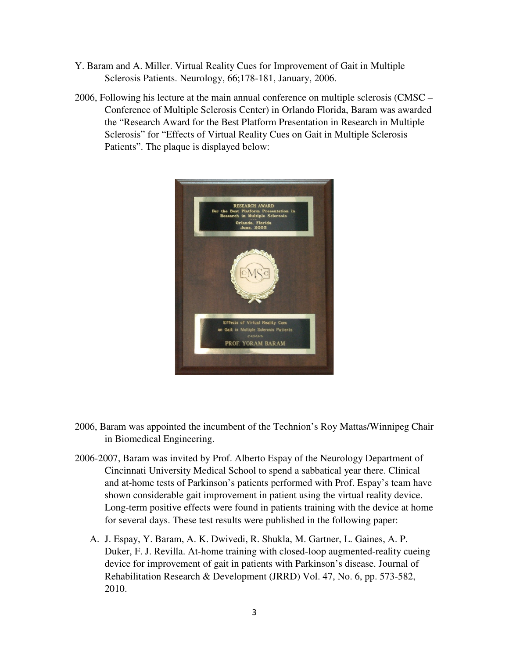- Y. Baram and A. Miller. Virtual Reality Cues for Improvement of Gait in Multiple Sclerosis Patients. Neurology, 66;178-181, January, 2006.
- 2006, Following his lecture at the main annual conference on multiple sclerosis (CMSC Conference of Multiple Sclerosis Center) in Orlando Florida, Baram was awarded the "Research Award for the Best Platform Presentation in Research in Multiple Sclerosis" for "Effects of Virtual Reality Cues on Gait in Multiple Sclerosis Patients". The plaque is displayed below:



- 2006, Baram was appointed the incumbent of the Technion's Roy Mattas/Winnipeg Chair in Biomedical Engineering.
- 2006-2007, Baram was invited by Prof. Alberto Espay of the Neurology Department of Cincinnati University Medical School to spend a sabbatical year there. Clinical and at-home tests of Parkinson's patients performed with Prof. Espay's team have shown considerable gait improvement in patient using the virtual reality device. Long-term positive effects were found in patients training with the device at home for several days. These test results were published in the following paper:
	- A. J. Espay, Y. Baram, A. K. Dwivedi, R. Shukla, M. Gartner, L. Gaines, A. P. Duker, F. J. Revilla. At-home training with closed-loop augmented-reality cueing device for improvement of gait in patients with Parkinson's disease. Journal of Rehabilitation Research & Development (JRRD) Vol. 47, No. 6, pp. 573-582, 2010.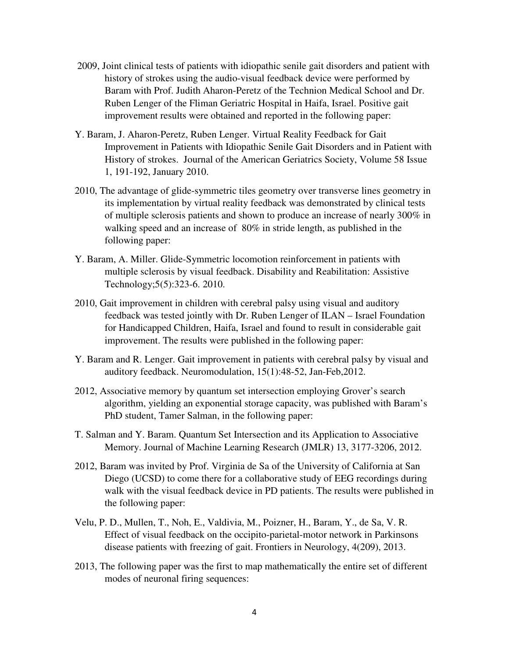- 2009, Joint clinical tests of patients with idiopathic senile gait disorders and patient with history of strokes using the audio-visual feedback device were performed by Baram with Prof. Judith Aharon-Peretz of the Technion Medical School and Dr. Ruben Lenger of the Fliman Geriatric Hospital in Haifa, Israel. Positive gait improvement results were obtained and reported in the following paper:
- Y. Baram, J. Aharon-Peretz, Ruben Lenger. Virtual Reality Feedback for Gait Improvement in Patients with Idiopathic Senile Gait Disorders and in Patient with History of strokes. Journal of the American Geriatrics Society, Volume 58 Issue 1, 191-192, January 2010.
- 2010, The advantage of glide-symmetric tiles geometry over transverse lines geometry in its implementation by virtual reality feedback was demonstrated by clinical tests of multiple sclerosis patients and shown to produce an increase of nearly 300% in walking speed and an increase of 80% in stride length, as published in the following paper:
- Y. Baram, A. Miller. Glide-Symmetric locomotion reinforcement in patients with multiple sclerosis by visual feedback. Disability and Reabilitation: Assistive Technology;5(5):323-6. 2010.
- 2010, Gait improvement in children with cerebral palsy using visual and auditory feedback was tested jointly with Dr. Ruben Lenger of ILAN – Israel Foundation for Handicapped Children, Haifa, Israel and found to result in considerable gait improvement. The results were published in the following paper:
- Y. Baram and R. Lenger. Gait improvement in patients with cerebral palsy by visual and auditory feedback. Neuromodulation, 15(1):48-52, Jan-Feb,2012.
- 2012, Associative memory by quantum set intersection employing Grover's search algorithm, yielding an exponential storage capacity, was published with Baram's PhD student, Tamer Salman, in the following paper:
- T. Salman and Y. Baram. Quantum Set Intersection and its Application to Associative Memory. Journal of Machine Learning Research (JMLR) 13, 3177-3206, 2012.
- 2012, Baram was invited by Prof. Virginia de Sa of the University of California at San Diego (UCSD) to come there for a collaborative study of EEG recordings during walk with the visual feedback device in PD patients. The results were published in the following paper:
- Velu, P. D., Mullen, T., Noh, E., Valdivia, M., Poizner, H., Baram, Y., de Sa, V. R. Effect of visual feedback on the occipito-parietal-motor network in Parkinsons disease patients with freezing of gait. Frontiers in Neurology, 4(209), 2013.
- 2013, The following paper was the first to map mathematically the entire set of different modes of neuronal firing sequences: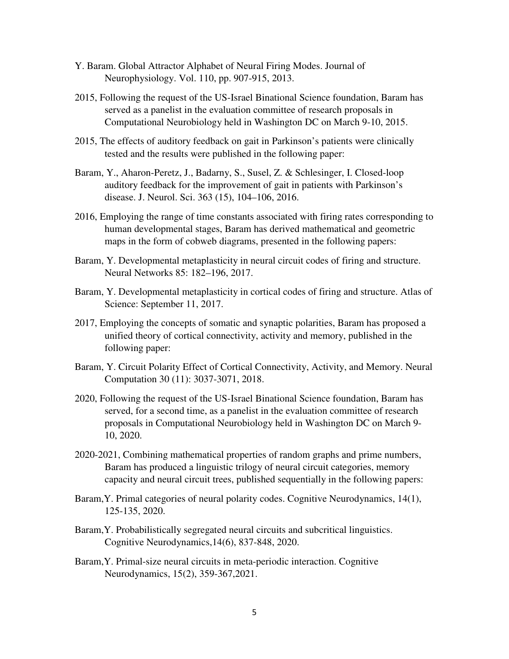- Y. Baram. Global Attractor Alphabet of Neural Firing Modes. Journal of Neurophysiology. Vol. 110, pp. 907-915, 2013.
- 2015, Following the request of the US-Israel Binational Science foundation, Baram has served as a panelist in the evaluation committee of research proposals in Computational Neurobiology held in Washington DC on March 9-10, 2015.
- 2015, The effects of auditory feedback on gait in Parkinson's patients were clinically tested and the results were published in the following paper:
- Baram, Y., Aharon-Peretz, J., Badarny, S., Susel, Z. & Schlesinger, I. Closed-loop auditory feedback for the improvement of gait in patients with Parkinson's disease. J. Neurol. Sci. 363 (15), 104–106, 2016.
- 2016, Employing the range of time constants associated with firing rates corresponding to human developmental stages, Baram has derived mathematical and geometric maps in the form of cobweb diagrams, presented in the following papers:
- Baram, Y. Developmental metaplasticity in neural circuit codes of firing and structure. Neural Networks 85: 182–196, 2017.
- Baram, Y. Developmental metaplasticity in cortical codes of firing and structure. Atlas of Science: September 11, 2017.
- 2017, Employing the concepts of somatic and synaptic polarities, Baram has proposed a unified theory of cortical connectivity, activity and memory, published in the following paper:
- Baram, Y. Circuit Polarity Effect of Cortical Connectivity, Activity, and Memory. Neural Computation 30 (11): 3037-3071, 2018.
- 2020, Following the request of the US-Israel Binational Science foundation, Baram has served, for a second time, as a panelist in the evaluation committee of research proposals in Computational Neurobiology held in Washington DC on March 9- 10, 2020.
- 2020-2021, Combining mathematical properties of random graphs and prime numbers, Baram has produced a linguistic trilogy of neural circuit categories, memory capacity and neural circuit trees, published sequentially in the following papers:
- Baram,Y. Primal categories of neural polarity codes. Cognitive Neurodynamics, 14(1), 125-135, 2020.
- Baram,Y. Probabilistically segregated neural circuits and subcritical linguistics. Cognitive Neurodynamics,14(6), 837-848, 2020.
- Baram,Y. Primal-size neural circuits in meta-periodic interaction. Cognitive Neurodynamics, 15(2), 359-367,2021.